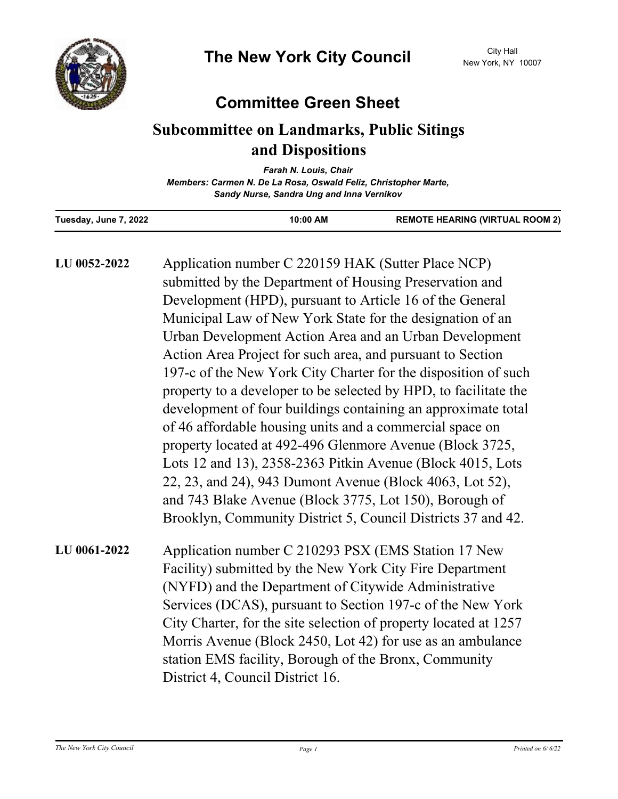

## **Committee Green Sheet**

## **Subcommittee on Landmarks, Public Sitings and Dispositions**

*Farah N. Louis, Chair Members: Carmen N. De La Rosa, Oswald Feliz, Christopher Marte, Sandy Nurse, Sandra Ung and Inna Vernikov*

| Tuesday, June 7, 2022 | 10:00 AM | <b>REMOTE HEARING (VIRTUAL ROOM 2)</b> |
|-----------------------|----------|----------------------------------------|

| LU 0052-2022 | Application number C 220159 HAK (Sutter Place NCP)<br>submitted by the Department of Housing Preservation and<br>Development (HPD), pursuant to Article 16 of the General<br>Municipal Law of New York State for the designation of an<br>Urban Development Action Area and an Urban Development<br>Action Area Project for such area, and pursuant to Section<br>197-c of the New York City Charter for the disposition of such                                                                              |
|--------------|---------------------------------------------------------------------------------------------------------------------------------------------------------------------------------------------------------------------------------------------------------------------------------------------------------------------------------------------------------------------------------------------------------------------------------------------------------------------------------------------------------------|
|              | property to a developer to be selected by HPD, to facilitate the<br>development of four buildings containing an approximate total<br>of 46 affordable housing units and a commercial space on<br>property located at 492-496 Glenmore Avenue (Block 3725,<br>Lots 12 and 13), 2358-2363 Pitkin Avenue (Block 4015, Lots<br>22, 23, and 24), 943 Dumont Avenue (Block 4063, Lot 52),<br>and 743 Blake Avenue (Block 3775, Lot 150), Borough of<br>Brooklyn, Community District 5, Council Districts 37 and 42. |
| LU 0061-2022 | Application number C 210293 PSX (EMS Station 17 New<br>Facility) submitted by the New York City Fire Department<br>(NYFD) and the Department of Citywide Administrative<br>Services (DCAS), pursuant to Section 197-c of the New York<br>City Charter, for the site selection of property located at 1257<br>Morris Avenue (Block 2450, Lot 42) for use as an ambulance<br>station EMS facility, Borough of the Bronx, Community<br>District 4, Council District 16.                                          |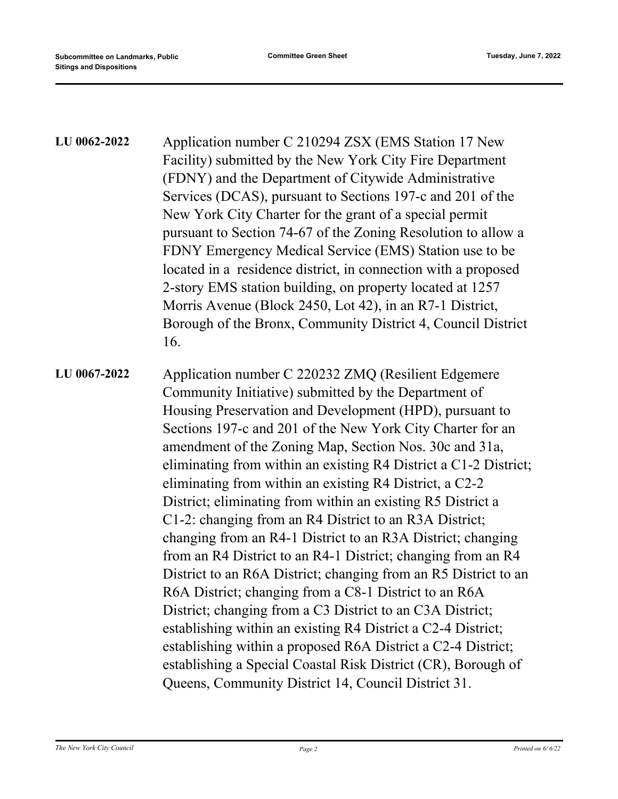| LU 0062-2022 | Application number C 210294 ZSX (EMS Station 17 New<br>Facility) submitted by the New York City Fire Department<br>(FDNY) and the Department of Citywide Administrative<br>Services (DCAS), pursuant to Sections 197-c and 201 of the<br>New York City Charter for the grant of a special permit<br>pursuant to Section 74-67 of the Zoning Resolution to allow a<br>FDNY Emergency Medical Service (EMS) Station use to be<br>located in a residence district, in connection with a proposed<br>2-story EMS station building, on property located at 1257<br>Morris Avenue (Block 2450, Lot 42), in an R7-1 District,<br>Borough of the Bronx, Community District 4, Council District<br>16. |
|--------------|-----------------------------------------------------------------------------------------------------------------------------------------------------------------------------------------------------------------------------------------------------------------------------------------------------------------------------------------------------------------------------------------------------------------------------------------------------------------------------------------------------------------------------------------------------------------------------------------------------------------------------------------------------------------------------------------------|
| LU 0067-2022 | Application number C 220232 ZMQ (Resilient Edgemere<br>Community Initiative) submitted by the Department of<br>Housing Preservation and Development (HPD), pursuant to<br>Sections 197-c and 201 of the New York City Charter for an<br>amendment of the Zoning Map, Section Nos. 30c and 31a,<br>eliminating from within an existing R4 District a C1-2 District;<br>eliminating from within an existing R4 District, a C2-2<br>District; eliminating from within an existing R5 District a<br>C1-2: changing from an R4 District to an R3A District;                                                                                                                                        |
|              | changing from an R4-1 District to an R3A District; changing<br>from an R4 District to an R4-1 District; changing from an R4<br>District to an R6A District; changing from an R5 District to an<br>R6A District; changing from a C8-1 District to an R6A<br>District; changing from a C3 District to an C3A District;<br>establishing within an existing R4 District a C2-4 District;<br>establishing within a proposed R6A District a C2-4 District;<br>establishing a Special Coastal Risk District (CR), Borough of<br>Queens, Community District 14, Council District 31.                                                                                                                  |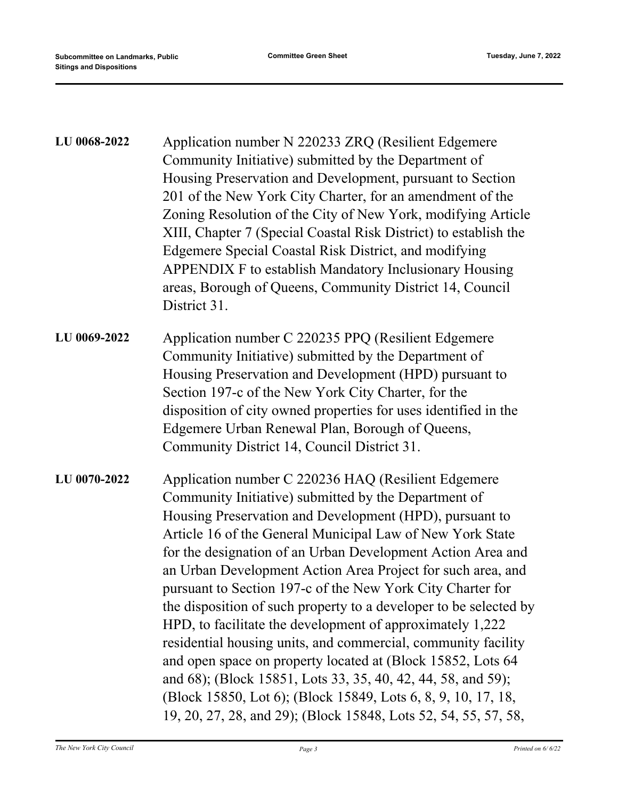| LU 0068-2022 | Application number N 220233 ZRQ (Resilient Edgemere<br>Community Initiative) submitted by the Department of<br>Housing Preservation and Development, pursuant to Section<br>201 of the New York City Charter, for an amendment of the<br>Zoning Resolution of the City of New York, modifying Article<br>XIII, Chapter 7 (Special Coastal Risk District) to establish the<br>Edgemere Special Coastal Risk District, and modifying<br>APPENDIX F to establish Mandatory Inclusionary Housing<br>areas, Borough of Queens, Community District 14, Council<br>District 31.                                                                                                                                                                                                                                                           |
|--------------|------------------------------------------------------------------------------------------------------------------------------------------------------------------------------------------------------------------------------------------------------------------------------------------------------------------------------------------------------------------------------------------------------------------------------------------------------------------------------------------------------------------------------------------------------------------------------------------------------------------------------------------------------------------------------------------------------------------------------------------------------------------------------------------------------------------------------------|
| LU 0069-2022 | Application number C 220235 PPQ (Resilient Edgemere<br>Community Initiative) submitted by the Department of<br>Housing Preservation and Development (HPD) pursuant to<br>Section 197-c of the New York City Charter, for the<br>disposition of city owned properties for uses identified in the<br>Edgemere Urban Renewal Plan, Borough of Queens,<br>Community District 14, Council District 31.                                                                                                                                                                                                                                                                                                                                                                                                                                  |
| LU 0070-2022 | Application number C 220236 HAQ (Resilient Edgemere<br>Community Initiative) submitted by the Department of<br>Housing Preservation and Development (HPD), pursuant to<br>Article 16 of the General Municipal Law of New York State<br>for the designation of an Urban Development Action Area and<br>an Urban Development Action Area Project for such area, and<br>pursuant to Section 197-c of the New York City Charter for<br>the disposition of such property to a developer to be selected by<br>HPD, to facilitate the development of approximately 1,222<br>residential housing units, and commercial, community facility<br>and open space on property located at (Block 15852, Lots 64<br>and 68); (Block 15851, Lots 33, 35, 40, 42, 44, 58, and 59);<br>(Block 15850, Lot 6); (Block 15849, Lots 6, 8, 9, 10, 17, 18, |

19, 20, 27, 28, and 29); (Block 15848, Lots 52, 54, 55, 57, 58,